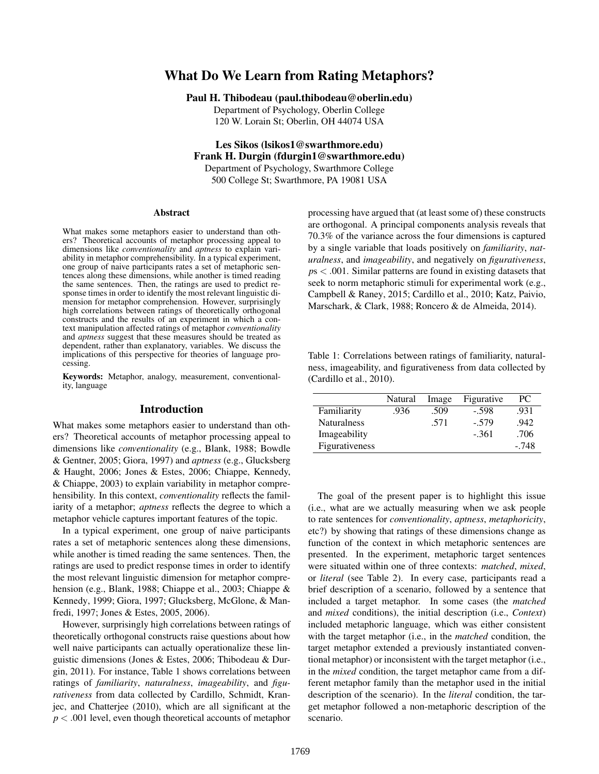# What Do We Learn from Rating Metaphors?

Paul H. Thibodeau (paul.thibodeau@oberlin.edu)

Department of Psychology, Oberlin College 120 W. Lorain St; Oberlin, OH 44074 USA

Les Sikos (lsikos1@swarthmore.edu) Frank H. Durgin (fdurgin1@swarthmore.edu) Department of Psychology, Swarthmore College 500 College St; Swarthmore, PA 19081 USA

#### Abstract

What makes some metaphors easier to understand than others? Theoretical accounts of metaphor processing appeal to dimensions like *conventionality* and *aptness* to explain variability in metaphor comprehensibility. In a typical experiment, one group of naive participants rates a set of metaphoric sentences along these dimensions, while another is timed reading the same sentences. Then, the ratings are used to predict response times in order to identify the most relevant linguistic dimension for metaphor comprehension. However, surprisingly high correlations between ratings of theoretically orthogonal constructs and the results of an experiment in which a context manipulation affected ratings of metaphor *conventionality* and *aptness* suggest that these measures should be treated as dependent, rather than explanatory, variables. We discuss the implications of this perspective for theories of language processing.

Keywords: Metaphor, analogy, measurement, conventionality, language

## Introduction

What makes some metaphors easier to understand than others? Theoretical accounts of metaphor processing appeal to dimensions like *conventionality* (e.g., Blank, 1988; Bowdle & Gentner, 2005; Giora, 1997) and *aptness* (e.g., Glucksberg & Haught, 2006; Jones & Estes, 2006; Chiappe, Kennedy, & Chiappe, 2003) to explain variability in metaphor comprehensibility. In this context, *conventionality* reflects the familiarity of a metaphor; *aptness* reflects the degree to which a metaphor vehicle captures important features of the topic.

In a typical experiment, one group of naive participants rates a set of metaphoric sentences along these dimensions, while another is timed reading the same sentences. Then, the ratings are used to predict response times in order to identify the most relevant linguistic dimension for metaphor comprehension (e.g., Blank, 1988; Chiappe et al., 2003; Chiappe & Kennedy, 1999; Giora, 1997; Glucksberg, McGlone, & Manfredi, 1997; Jones & Estes, 2005, 2006).

However, surprisingly high correlations between ratings of theoretically orthogonal constructs raise questions about how well naive participants can actually operationalize these linguistic dimensions (Jones & Estes, 2006; Thibodeau & Durgin, 2011). For instance, Table 1 shows correlations between ratings of *familiarity*, *naturalness*, *imageability*, and *figurativeness* from data collected by Cardillo, Schmidt, Kranjec, and Chatterjee (2010), which are all significant at the *p* < .001 level, even though theoretical accounts of metaphor processing have argued that (at least some of) these constructs are orthogonal. A principal components analysis reveals that 70.3% of the variance across the four dimensions is captured by a single variable that loads positively on *familiarity*, *naturalness*, and *imageability*, and negatively on *figurativeness*, *p*s < .001. Similar patterns are found in existing datasets that seek to norm metaphoric stimuli for experimental work (e.g., Campbell & Raney, 2015; Cardillo et al., 2010; Katz, Paivio, Marschark, & Clark, 1988; Roncero & de Almeida, 2014).

Table 1: Correlations between ratings of familiarity, naturalness, imageability, and figurativeness from data collected by (Cardillo et al., 2010).

|                    | Natural | Image | Figurative | PС      |
|--------------------|---------|-------|------------|---------|
| Familiarity        | .936    | .509  | $-.598$    | .931    |
| <b>Naturalness</b> |         | .571  | $-.579$    | .942    |
| Imageability       |         |       | $-.361$    | .706    |
| Figurativeness     |         |       |            | $-.748$ |

The goal of the present paper is to highlight this issue (i.e., what are we actually measuring when we ask people to rate sentences for *conventionality*, *aptness*, *metaphoricity*, etc?) by showing that ratings of these dimensions change as function of the context in which metaphoric sentences are presented. In the experiment, metaphoric target sentences were situated within one of three contexts: *matched*, *mixed*, or *literal* (see Table 2). In every case, participants read a brief description of a scenario, followed by a sentence that included a target metaphor. In some cases (the *matched* and *mixed* conditions), the initial description (i.e., *Context*) included metaphoric language, which was either consistent with the target metaphor (i.e., in the *matched* condition, the target metaphor extended a previously instantiated conventional metaphor) or inconsistent with the target metaphor (i.e., in the *mixed* condition, the target metaphor came from a different metaphor family than the metaphor used in the initial description of the scenario). In the *literal* condition, the target metaphor followed a non-metaphoric description of the scenario.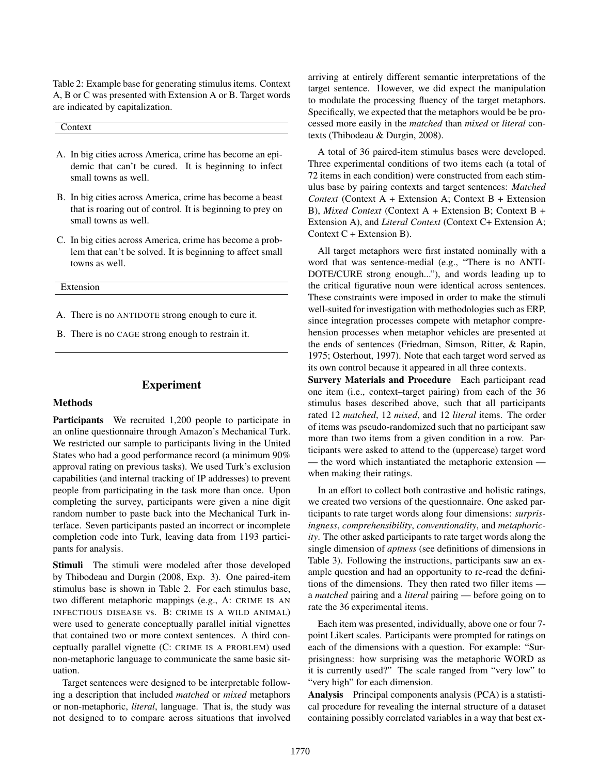Table 2: Example base for generating stimulus items. Context A, B or C was presented with Extension A or B. Target words are indicated by capitalization.

Context

- A. In big cities across America, crime has become an epidemic that can't be cured. It is beginning to infect small towns as well.
- B. In big cities across America, crime has become a beast that is roaring out of control. It is beginning to prey on small towns as well.
- C. In big cities across America, crime has become a problem that can't be solved. It is beginning to affect small towns as well.
- Extension
- A. There is no ANTIDOTE strong enough to cure it.
- B. There is no CAGE strong enough to restrain it.

## Experiment

#### Methods

Participants We recruited 1,200 people to participate in an online questionnaire through Amazon's Mechanical Turk. We restricted our sample to participants living in the United States who had a good performance record (a minimum 90% approval rating on previous tasks). We used Turk's exclusion capabilities (and internal tracking of IP addresses) to prevent people from participating in the task more than once. Upon completing the survey, participants were given a nine digit random number to paste back into the Mechanical Turk interface. Seven participants pasted an incorrect or incomplete completion code into Turk, leaving data from 1193 participants for analysis.

Stimuli The stimuli were modeled after those developed by Thibodeau and Durgin (2008, Exp. 3). One paired-item stimulus base is shown in Table 2. For each stimulus base, two different metaphoric mappings (e.g., A: CRIME IS AN INFECTIOUS DISEASE vs. B: CRIME IS A WILD ANIMAL) were used to generate conceptually parallel initial vignettes that contained two or more context sentences. A third conceptually parallel vignette (C: CRIME IS A PROBLEM) used non-metaphoric language to communicate the same basic situation.

Target sentences were designed to be interpretable following a description that included *matched* or *mixed* metaphors or non-metaphoric, *literal*, language. That is, the study was not designed to to compare across situations that involved arriving at entirely different semantic interpretations of the target sentence. However, we did expect the manipulation to modulate the processing fluency of the target metaphors. Specifically, we expected that the metaphors would be be processed more easily in the *matched* than *mixed* or *literal* contexts (Thibodeau & Durgin, 2008).

A total of 36 paired-item stimulus bases were developed. Three experimental conditions of two items each (a total of 72 items in each condition) were constructed from each stimulus base by pairing contexts and target sentences: *Matched Context* (Context A + Extension A; Context B + Extension B), *Mixed Context* (Context A + Extension B; Context B + Extension A), and *Literal Context* (Context C+ Extension A; Context C + Extension B).

All target metaphors were first instated nominally with a word that was sentence-medial (e.g., "There is no ANTI-DOTE/CURE strong enough..."), and words leading up to the critical figurative noun were identical across sentences. These constraints were imposed in order to make the stimuli well-suited for investigation with methodologies such as ERP, since integration processes compete with metaphor comprehension processes when metaphor vehicles are presented at the ends of sentences (Friedman, Simson, Ritter, & Rapin, 1975; Osterhout, 1997). Note that each target word served as its own control because it appeared in all three contexts.

Survery Materials and Procedure Each participant read one item (i.e., context–target pairing) from each of the 36 stimulus bases described above, such that all participants rated 12 *matched*, 12 *mixed*, and 12 *literal* items. The order of items was pseudo-randomized such that no participant saw more than two items from a given condition in a row. Participants were asked to attend to the (uppercase) target word — the word which instantiated the metaphoric extension when making their ratings.

In an effort to collect both contrastive and holistic ratings, we created two versions of the questionnaire. One asked participants to rate target words along four dimensions: *surprisingness*, *comprehensibility*, *conventionality*, and *metaphoricity*. The other asked participants to rate target words along the single dimension of *aptness* (see definitions of dimensions in Table 3). Following the instructions, participants saw an example question and had an opportunity to re-read the definitions of the dimensions. They then rated two filler items a *matched* pairing and a *literal* pairing — before going on to rate the 36 experimental items.

Each item was presented, individually, above one or four 7 point Likert scales. Participants were prompted for ratings on each of the dimensions with a question. For example: "Surprisingness: how surprising was the metaphoric WORD as it is currently used?" The scale ranged from "very low" to "very high" for each dimension.

Analysis Principal components analysis (PCA) is a statistical procedure for revealing the internal structure of a dataset containing possibly correlated variables in a way that best ex-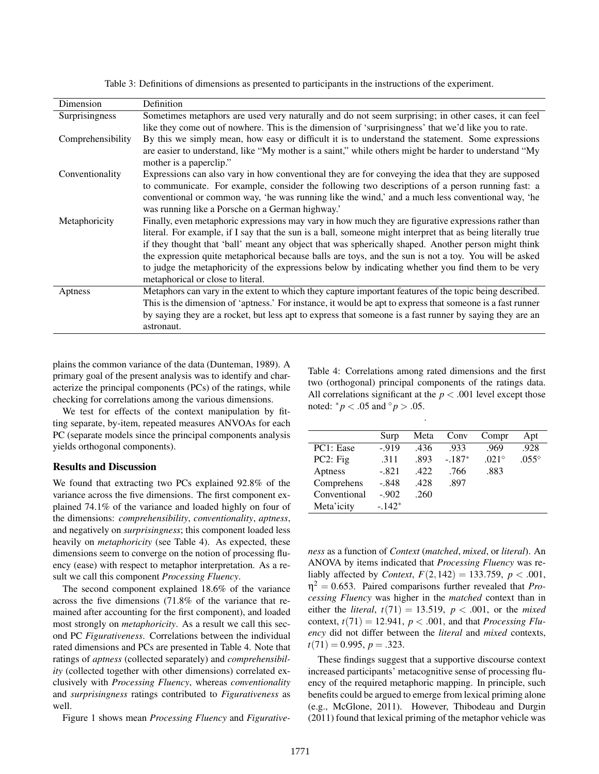| Dimension         | Definition                                                                                                  |
|-------------------|-------------------------------------------------------------------------------------------------------------|
| Surprisingness    | Sometimes metaphors are used very naturally and do not seem surprising; in other cases, it can feel         |
|                   | like they come out of nowhere. This is the dimension of 'surprisingness' that we'd like you to rate.        |
| Comprehensibility | By this we simply mean, how easy or difficult it is to understand the statement. Some expressions           |
|                   | are easier to understand, like "My mother is a saint," while others might be harder to understand "My       |
|                   | mother is a paperclip."                                                                                     |
| Conventionality   | Expressions can also vary in how conventional they are for conveying the idea that they are supposed        |
|                   | to communicate. For example, consider the following two descriptions of a person running fast: a            |
|                   | conventional or common way, 'he was running like the wind,' and a much less conventional way, 'he           |
|                   | was running like a Porsche on a German highway.'                                                            |
| Metaphoricity     | Finally, even metaphoric expressions may vary in how much they are figurative expressions rather than       |
|                   | literal. For example, if I say that the sun is a ball, someone might interpret that as being literally true |
|                   | if they thought that 'ball' meant any object that was spherically shaped. Another person might think        |
|                   | the expression quite metaphorical because balls are toys, and the sun is not a toy. You will be asked       |
|                   | to judge the metaphoricity of the expressions below by indicating whether you find them to be very          |
|                   | metaphorical or close to literal.                                                                           |
| Aptness           | Metaphors can vary in the extent to which they capture important features of the topic being described.     |
|                   | This is the dimension of 'aptness.' For instance, it would be apt to express that someone is a fast runner  |
|                   | by saying they are a rocket, but less apt to express that someone is a fast runner by saying they are an    |
|                   | astronaut.                                                                                                  |

Table 3: Definitions of dimensions as presented to participants in the instructions of the experiment.

plains the common variance of the data (Dunteman, 1989). A primary goal of the present analysis was to identify and characterize the principal components (PCs) of the ratings, while checking for correlations among the various dimensions.

We test for effects of the context manipulation by fitting separate, by-item, repeated measures ANVOAs for each PC (separate models since the principal components analysis yields orthogonal components).

### Results and Discussion

We found that extracting two PCs explained 92.8% of the variance across the five dimensions. The first component explained 74.1% of the variance and loaded highly on four of the dimensions: *comprehensibility*, *conventionality*, *aptness*, and negatively on *surprisingness*; this component loaded less heavily on *metaphoricity* (see Table 4). As expected, these dimensions seem to converge on the notion of processing fluency (ease) with respect to metaphor interpretation. As a result we call this component *Processing Fluency*.

The second component explained 18.6% of the variance across the five dimensions (71.8% of the variance that remained after accounting for the first component), and loaded most strongly on *metaphoricity*. As a result we call this second PC *Figurativeness*. Correlations between the individual rated dimensions and PCs are presented in Table 4. Note that ratings of *aptness* (collected separately) and *comprehensibility* (collected together with other dimensions) correlated exclusively with *Processing Fluency*, whereas *conventionality* and *surprisingness* ratings contributed to *Figurativeness* as well.

Figure 1 shows mean *Processing Fluency* and *Figurative-*

Table 4: Correlations among rated dimensions and the first two (orthogonal) principal components of the ratings data. All correlations significant at the  $p < .001$  level except those noted:  ${}^*p$  < .05 and  ${}^{\circ}p$  > .05.

.

|              | Surp    | Meta | Conv     | Compr          | Apt            |
|--------------|---------|------|----------|----------------|----------------|
| PC1: Ease    | $-919$  | .436 | .933     | .969           | .928           |
| PC2: Fig.    | .311    | .893 | $-.187*$ | $.021^{\circ}$ | $.055^{\circ}$ |
| Aptness      | $-.821$ | .422 | .766     | .883           |                |
| Comprehens   | $-.848$ | .428 | .897     |                |                |
| Conventional | $-.902$ | .260 |          |                |                |
| Meta'icity   | $-142*$ |      |          |                |                |

*ness* as a function of *Context* (*matched*, *mixed*, or *literal*). An ANOVA by items indicated that *Processing Fluency* was reliably affected by *Context*,  $F(2,142) = 133.759$ ,  $p < .001$ ,  $\eta^2 = 0.653$ . Paired comparisons further revealed that *Processing Fluency* was higher in the *matched* context than in either the *literal*,  $t(71) = 13.519$ ,  $p < .001$ , or the *mixed* context,  $t(71) = 12.941$ ,  $p < .001$ , and that *Processing Fluency* did not differ between the *literal* and *mixed* contexts,  $t(71) = 0.995, p = .323.$ 

These findings suggest that a supportive discourse context increased participants' metacognitive sense of processing fluency of the required metaphoric mapping. In principle, such benefits could be argued to emerge from lexical priming alone (e.g., McGlone, 2011). However, Thibodeau and Durgin (2011) found that lexical priming of the metaphor vehicle was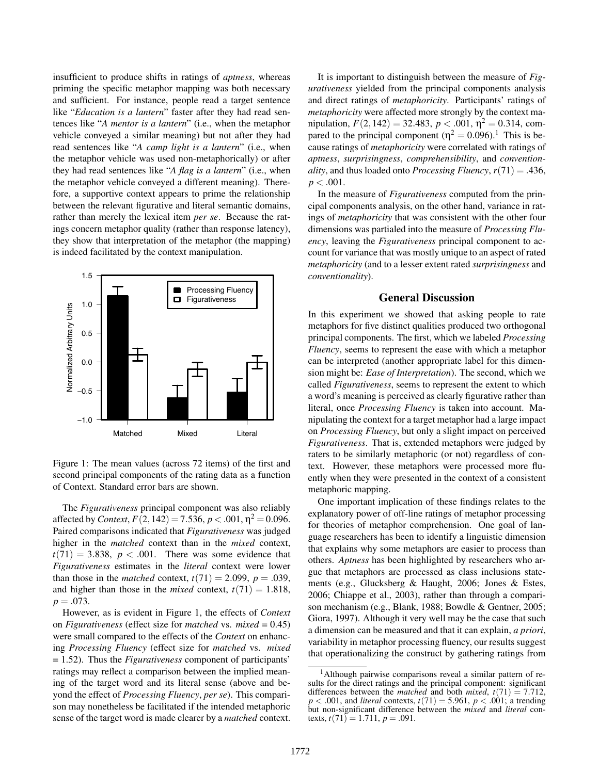insufficient to produce shifts in ratings of *aptness*, whereas priming the specific metaphor mapping was both necessary and sufficient. For instance, people read a target sentence like "*Education is a lantern*" faster after they had read sentences like "*A mentor is a lantern*" (i.e., when the metaphor vehicle conveyed a similar meaning) but not after they had read sentences like "*A camp light is a lantern*" (i.e., when the metaphor vehicle was used non-metaphorically) or after they had read sentences like "*A flag is a lantern*" (i.e., when the metaphor vehicle conveyed a different meaning). Therefore, a supportive context appears to prime the relationship between the relevant figurative and literal semantic domains, rather than merely the lexical item *per se*. Because the ratings concern metaphor quality (rather than response latency), they show that interpretation of the metaphor (the mapping) is indeed facilitated by the context manipulation.



Figure 1: The mean values (across 72 items) of the first and second principal components of the rating data as a function of Context. Standard error bars are shown.

The *Figurativeness* principal component was also reliably affected by *Context*,  $F(2,142) = 7.536, p < .001, \eta^2 = 0.096$ . Paired comparisons indicated that *Figurativeness* was judged higher in the *matched* context than in the *mixed* context,  $t(71) = 3.838$ ,  $p < .001$ . There was some evidence that *Figurativeness* estimates in the *literal* context were lower than those in the *matched* context,  $t(71) = 2.099$ ,  $p = .039$ , and higher than those in the *mixed* context,  $t(71) = 1.818$ ,  $p = .073$ .

However, as is evident in Figure 1, the effects of *Context* on *Figurativeness* (effect size for *matched* vs. *mixed* = 0.45) were small compared to the effects of the *Context* on enhancing *Processing Fluency* (effect size for *matched* vs. *mixed* = 1.52). Thus the *Figurativeness* component of participants' ratings may reflect a comparison between the implied meaning of the target word and its literal sense (above and beyond the effect of *Processing Fluency*, *per se*). This comparison may nonetheless be facilitated if the intended metaphoric sense of the target word is made clearer by a *matched* context.

It is important to distinguish between the measure of *Figurativeness* yielded from the principal components analysis and direct ratings of *metaphoricity*. Participants' ratings of *metaphoricity* were affected more strongly by the context manipulation,  $F(2, 142) = 32.483$ ,  $p < .001$ ,  $\eta^2 = 0.314$ , compared to the principal component ( $\eta^2 = 0.096$ ).<sup>1</sup> This is because ratings of *metaphoricity* were correlated with ratings of *aptness*, *surprisingness*, *comprehensibility*, and *conventionality*, and thus loaded onto *Processing Fluency*,  $r(71) = .436$ ,  $p < .001$ .

In the measure of *Figurativeness* computed from the principal components analysis, on the other hand, variance in ratings of *metaphoricity* that was consistent with the other four dimensions was partialed into the measure of *Processing Fluency*, leaving the *Figurativeness* principal component to account for variance that was mostly unique to an aspect of rated *metaphoricity* (and to a lesser extent rated *surprisingness* and *conventionality*).

## General Discussion

In this experiment we showed that asking people to rate metaphors for five distinct qualities produced two orthogonal principal components. The first, which we labeled *Processing Fluency*, seems to represent the ease with which a metaphor can be interpreted (another appropriate label for this dimension might be: *Ease of Interpretation*). The second, which we called *Figurativeness*, seems to represent the extent to which a word's meaning is perceived as clearly figurative rather than literal, once *Processing Fluency* is taken into account. Manipulating the context for a target metaphor had a large impact on *Processing Fluency*, but only a slight impact on perceived *Figurativeness*. That is, extended metaphors were judged by raters to be similarly metaphoric (or not) regardless of context. However, these metaphors were processed more fluently when they were presented in the context of a consistent metaphoric mapping.

One important implication of these findings relates to the explanatory power of off-line ratings of metaphor processing for theories of metaphor comprehension. One goal of language researchers has been to identify a linguistic dimension that explains why some metaphors are easier to process than others. *Aptness* has been highlighted by researchers who argue that metaphors are processed as class inclusions statements (e.g., Glucksberg & Haught, 2006; Jones & Estes, 2006; Chiappe et al., 2003), rather than through a comparison mechanism (e.g., Blank, 1988; Bowdle & Gentner, 2005; Giora, 1997). Although it very well may be the case that such a dimension can be measured and that it can explain, *a priori*, variability in metaphor processing fluency, our results suggest that operationalizing the construct by gathering ratings from

<sup>1</sup>Although pairwise comparisons reveal a similar pattern of results for the direct ratings and the principal component: significant differences between the *matched* and both *mixed*,  $t(71) = 7.712$ ,  $p < .001$ , and *literal* contexts,  $t(71) = 5.961$ ,  $p < .001$ ; a trending but non-significant difference between the *mixed* and *literal* contexts,  $t(71) = 1.711$ ,  $p = .091$ .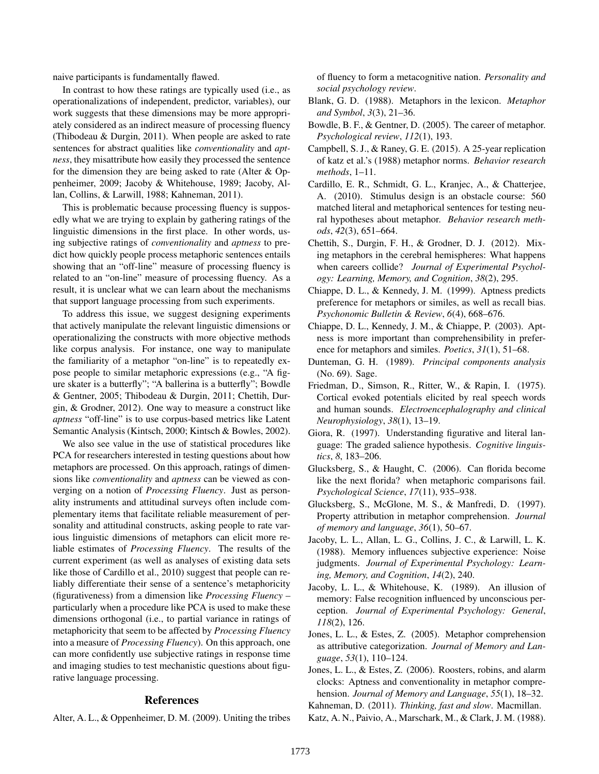naive participants is fundamentally flawed.

In contrast to how these ratings are typically used (i.e., as operationalizations of independent, predictor, variables), our work suggests that these dimensions may be more appropriately considered as an indirect measure of processing fluency (Thibodeau & Durgin, 2011). When people are asked to rate sentences for abstract qualities like *conventionality* and *aptness*, they misattribute how easily they processed the sentence for the dimension they are being asked to rate (Alter & Oppenheimer, 2009; Jacoby & Whitehouse, 1989; Jacoby, Allan, Collins, & Larwill, 1988; Kahneman, 2011).

This is problematic because processing fluency is supposedly what we are trying to explain by gathering ratings of the linguistic dimensions in the first place. In other words, using subjective ratings of *conventionality* and *aptness* to predict how quickly people process metaphoric sentences entails showing that an "off-line" measure of processing fluency is related to an "on-line" measure of processing fluency. As a result, it is unclear what we can learn about the mechanisms that support language processing from such experiments.

To address this issue, we suggest designing experiments that actively manipulate the relevant linguistic dimensions or operationalizing the constructs with more objective methods like corpus analysis. For instance, one way to manipulate the familiarity of a metaphor "on-line" is to repeatedly expose people to similar metaphoric expressions (e.g., "A figure skater is a butterfly"; "A ballerina is a butterfly"; Bowdle & Gentner, 2005; Thibodeau & Durgin, 2011; Chettih, Durgin, & Grodner, 2012). One way to measure a construct like *aptness* "off-line" is to use corpus-based metrics like Latent Semantic Analysis (Kintsch, 2000; Kintsch & Bowles, 2002).

We also see value in the use of statistical procedures like PCA for researchers interested in testing questions about how metaphors are processed. On this approach, ratings of dimensions like *conventionality* and *aptness* can be viewed as converging on a notion of *Processing Fluency*. Just as personality instruments and attitudinal surveys often include complementary items that facilitate reliable measurement of personality and attitudinal constructs, asking people to rate various linguistic dimensions of metaphors can elicit more reliable estimates of *Processing Fluency*. The results of the current experiment (as well as analyses of existing data sets like those of Cardillo et al., 2010) suggest that people can reliably differentiate their sense of a sentence's metaphoricity (figurativeness) from a dimension like *Processing Fluency* – particularly when a procedure like PCA is used to make these dimensions orthogonal (i.e., to partial variance in ratings of metaphoricity that seem to be affected by *Processing Fluency* into a measure of *Processing Fluency*). On this approach, one can more confidently use subjective ratings in response time and imaging studies to test mechanistic questions about figurative language processing.

## References

Alter, A. L., & Oppenheimer, D. M. (2009). Uniting the tribes

of fluency to form a metacognitive nation. *Personality and social psychology review*.

- Blank, G. D. (1988). Metaphors in the lexicon. *Metaphor and Symbol*, *3*(3), 21–36.
- Bowdle, B. F., & Gentner, D. (2005). The career of metaphor. *Psychological review*, *112*(1), 193.
- Campbell, S. J., & Raney, G. E. (2015). A 25-year replication of katz et al.'s (1988) metaphor norms. *Behavior research methods*, 1–11.
- Cardillo, E. R., Schmidt, G. L., Kranjec, A., & Chatterjee, A. (2010). Stimulus design is an obstacle course: 560 matched literal and metaphorical sentences for testing neural hypotheses about metaphor. *Behavior research methods*, *42*(3), 651–664.
- Chettih, S., Durgin, F. H., & Grodner, D. J. (2012). Mixing metaphors in the cerebral hemispheres: What happens when careers collide? *Journal of Experimental Psychology: Learning, Memory, and Cognition*, *38*(2), 295.
- Chiappe, D. L., & Kennedy, J. M. (1999). Aptness predicts preference for metaphors or similes, as well as recall bias. *Psychonomic Bulletin & Review*, *6*(4), 668–676.
- Chiappe, D. L., Kennedy, J. M., & Chiappe, P. (2003). Aptness is more important than comprehensibility in preference for metaphors and similes. *Poetics*, *31*(1), 51–68.
- Dunteman, G. H. (1989). *Principal components analysis* (No. 69). Sage.
- Friedman, D., Simson, R., Ritter, W., & Rapin, I. (1975). Cortical evoked potentials elicited by real speech words and human sounds. *Electroencephalography and clinical Neurophysiology*, *38*(1), 13–19.
- Giora, R. (1997). Understanding figurative and literal language: The graded salience hypothesis. *Cognitive linguistics*, *8*, 183–206.
- Glucksberg, S., & Haught, C. (2006). Can florida become like the next florida? when metaphoric comparisons fail. *Psychological Science*, *17*(11), 935–938.
- Glucksberg, S., McGlone, M. S., & Manfredi, D. (1997). Property attribution in metaphor comprehension. *Journal of memory and language*, *36*(1), 50–67.
- Jacoby, L. L., Allan, L. G., Collins, J. C., & Larwill, L. K. (1988). Memory influences subjective experience: Noise judgments. *Journal of Experimental Psychology: Learning, Memory, and Cognition*, *14*(2), 240.
- Jacoby, L. L., & Whitehouse, K. (1989). An illusion of memory: False recognition influenced by unconscious perception. *Journal of Experimental Psychology: General*, *118*(2), 126.
- Jones, L. L., & Estes, Z. (2005). Metaphor comprehension as attributive categorization. *Journal of Memory and Language*, *53*(1), 110–124.
- Jones, L. L., & Estes, Z. (2006). Roosters, robins, and alarm clocks: Aptness and conventionality in metaphor comprehension. *Journal of Memory and Language*, *55*(1), 18–32. Kahneman, D. (2011). *Thinking, fast and slow*. Macmillan.
- Katz, A. N., Paivio, A., Marschark, M., & Clark, J. M. (1988).